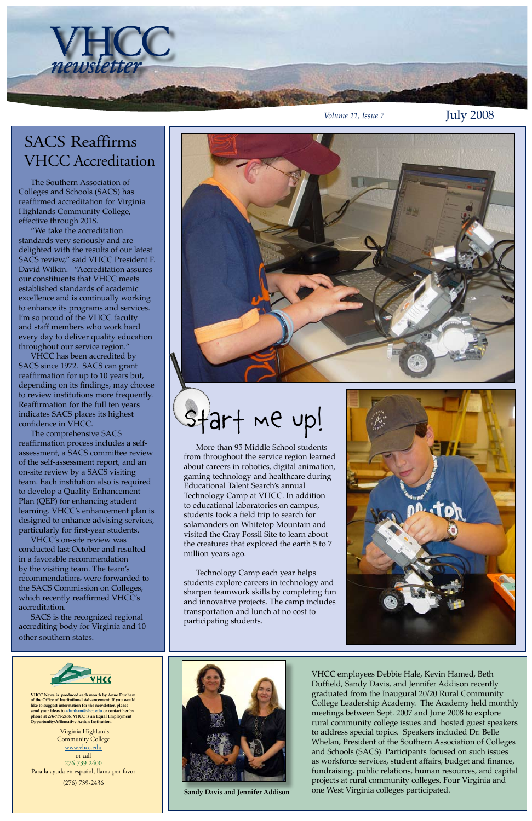Virginia Highlands Community College [www.vhcc.edu](http://www.vhcc.edu) or call 276-739-2400 Para la ayuda en español, llama por favor (276) 739-2436



**VHCC News is produced each month by Anne Dunham of the Office of Institutional Advancement. If you would like to suggest information for the newsletter, please send your ideas to [adunham@vhcc.ed](mailto:adunham@vhcc.edu)u or contact her by phone at 276-739-2456. VHCC is an Equal Employment Opportunity/Affirmative Action Institution.**

VHCC *newsletter*

 The Southern Association of Colleges and Schools (SACS) has reaffirmed accreditation for Virginia Highlands Community College, effective through 2018.

 "We take the accreditation standards very seriously and are delighted with the results of our latest SACS review," said VHCC President F. David Wilkin. "Accreditation assures our constituents that VHCC meets established standards of academic excellence and is continually working to enhance its programs and services. I'm so proud of the VHCC faculty and staff members who work hard every day to deliver quality education throughout our service region."

 VHCC has been accredited by SACS since 1972. SACS can grant reaffirmation for up to 10 years but, depending on its findings, may choose to review institutions more frequently. Reaffirmation for the full ten years indicates SACS places its highest confidence in VHCC.

 The comprehensive SACS reaffirmation process includes a selfassessment, a SACS committee review of the self-assessment report, and an on-site review by a SACS visiting team. Each institution also is required to develop a Quality Enhancement Plan (QEP) for enhancing student learning. VHCC's enhancement plan is designed to enhance advising services, particularly for first-year students.

 VHCC's on-site review was conducted last October and resulted in a favorable recommendation by the visiting team. The team's recommendations were forwarded to the SACS Commission on Colleges, which recently reaffirmed VHCC's

accreditation.

 SACS is the recognized regional accrediting body for Virginia and 10 other southern states.



# SACS Reaffirms VHCC Accreditation







VHCC employees Debbie Hale, Kevin Hamed, Beth Duffield, Sandy Davis, and Jennifer Addison recently graduated from the Inaugural 20/20 Rural Community College Leadership Academy. The Academy held monthly meetings between Sept. 2007 and June 2008 to explore rural community college issues and hosted guest speakers to address special topics. Speakers included Dr. Belle Whelan, President of the Southern Association of Colleges and Schools (SACS). Participants focused on such issues as workforce services, student affairs, budget and finance, fundraising, public relations, human resources, and capital projects at rural community colleges. Four Virginia and **Sandy Davis and Jennifer Addison** one West Virginia colleges participated.

 More than 95 Middle School students from throughout the service region learned about careers in robotics, digital animation, gaming technology and healthcare during Educational Talent Search's annual Technology Camp at VHCC. In addition to educational laboratories on campus, students took a field trip to search for salamanders on Whitetop Mountain and visited the Gray Fossil Site to learn about the creatures that explored the earth 5 to 7 million years ago.

 Technology Camp each year helps students explore careers in technology and sharpen teamwork skills by completing fun and innovative projects. The camp includes transportation and lunch at no cost to participating students.

Start me Up!